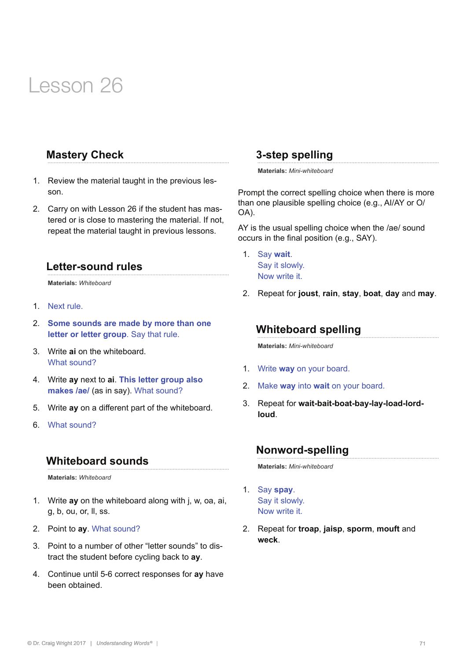## **Mastery Check**

- 1. Review the material taught in the previous lesson.
- 2. Carry on with Lesson 26 if the student has mastered or is close to mastering the material. If not, repeat the material taught in previous lessons.

#### **Letter-sound rules**

**Materials:** *Whiteboard* 

- 1. Next rule.
- 2. **Some sounds are made by more than one letter or letter group**. Say that rule.
- 3. Write **ai** on the whiteboard. What sound?
- 4. Write **ay** next to **ai**. **This letter group also**  makes /ae/ (as in say). What sound?
- 5. Write **ay** on a different part of the whiteboard.
- 6. What sound?

## **Whiteboard sounds**

**Materials:** *Whiteboard* 

- 1. Write **ay** on the whiteboard along with j, w, oa, ai, g, b, ou, or, ll, ss.
- 2. Point to **ay**. What sound?
- 3. Point to a number of other "letter sounds" to distract the student before cycling back to **ay**.
- 4. Continue until 5-6 correct responses for **ay** have been obtained.

#### **3-step spelling**

**Materials:** *Mini-whiteboard* 

Prompt the correct spelling choice when there is more than one plausible spelling choice (e.g., AI/AY or O/ OA).

AY is the usual spelling choice when the /ae/ sound occurs in the final position (e.g., SAY).

- 1. Say **wait**. Say it slowly. Now write it.
- 2. Repeat for **joust**, **rain**, **stay**, **boat**, **day** and **may**.

#### **Whiteboard spelling**

**Materials:** *Mini-whiteboard*

- 1. Write **way** on your board.
- 2. Make **way** into **wait** on your board.
- 3. Repeat for **wait-bait-boat-bay-lay-load-lordloud**.

#### **Nonword-spelling**

**Materials:** *Mini-whiteboard*

- 1. Say **spay**. Say it slowly. Now write it.
- 2. Repeat for **troap**, **jaisp**, **sporm**, **mouft** and **weck**.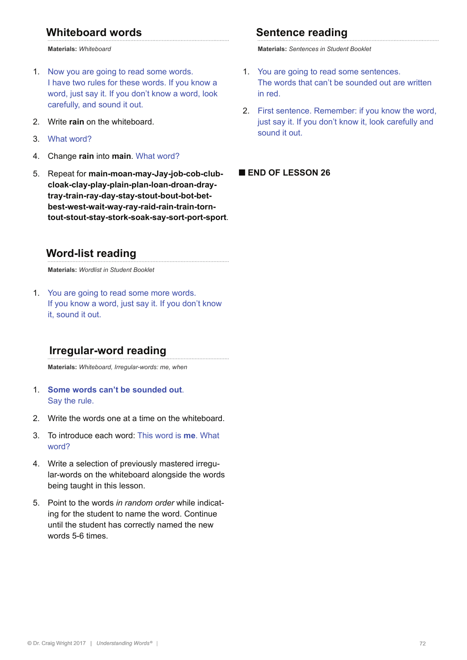## **Whiteboard words**

**Materials:** *Whiteboard*

- 1. Now you are going to read some words. I have two rules for these words. If you know a word, just say it. If you don't know a word, look carefully, and sound it out.
- 2. Write **rain** on the whiteboard.
- 3. What word?
- 4. Change **rain** into **main**. What word?
- 5. Repeat for **main-moan-may-Jay-job-cob-clubcloak-clay-play-plain-plan-loan-droan-draytray-train-ray-day-stay-stout-bout-bot-betbest-west-wait-way-ray-raid-rain-train-torntout-stout-stay-stork-soak-say-sort-port-sport**.

### **Word-list reading**

**Materials:** *Wordlist in Student Booklet*

1. You are going to read some more words. If you know a word, just say it. If you don't know it, sound it out.

#### **Irregular-word reading**

**Materials:** *Whiteboard, Irregular-words: me, when*

- 1. **Some words can't be sounded out**. Say the rule.
- 2. Write the words one at a time on the whiteboard.
- 3. To introduce each word: This word is **me**. What word?
- 4. Write a selection of previously mastered irregular-words on the whiteboard alongside the words being taught in this lesson.
- 5. Point to the words *in random order* while indicating for the student to name the word. Continue until the student has correctly named the new words 5-6 times.

#### **Sentence reading**

**Materials:** *Sentences in Student Booklet*

- 1. You are going to read some sentences. The words that can't be sounded out are written in red.
- 2. First sentence. Remember: if you know the word, just say it. If you don't know it, look carefully and sound it out.

#### **■ END OF LESSON 26**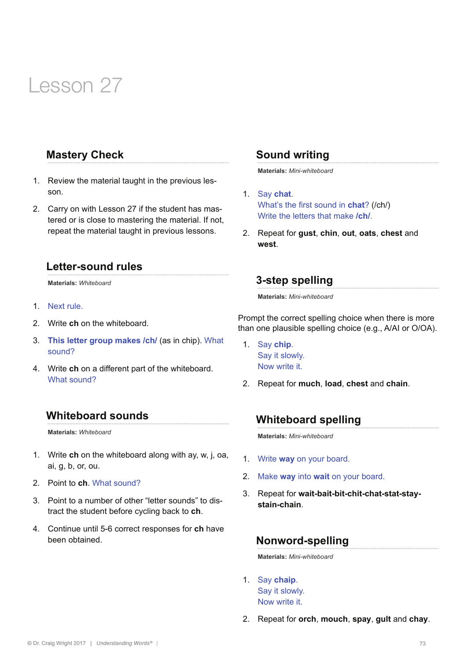### **Mastery Check**

- 1. Review the material taught in the previous lesson.
- 2. Carry on with Lesson 27 if the student has mastered or is close to mastering the material. If not, repeat the material taught in previous lessons.

#### **Letter-sound rules**

**Materials:** *Whiteboard* 

- 1. Next rule.
- 2. Write **ch** on the whiteboard.
- 3. **This letter group makes /ch/** (as in chip). What sound?
- 4. Write **ch** on a different part of the whiteboard. What sound?

#### **Whiteboard sounds**

**Materials:** *Whiteboard* 

- 1. Write **ch** on the whiteboard along with ay, w, j, oa, ai, g, b, or, ou.
- 2. Point to **ch**. What sound?
- 3. Point to a number of other "letter sounds" to distract the student before cycling back to **ch**.
- 4. Continue until 5-6 correct responses for **ch** have been obtained.

#### **Sound writing**

**Materials:** *Mini-whiteboard*

- 1. Say **chat**. What's the first sound in **chat**? (/ch/) Write the letters that make **/ch/**.
- 2. Repeat for **gust**, **chin**, **out**, **oats**, **chest** and **west**.

### **3-step spelling**

**Materials:** *Mini-whiteboard* 

Prompt the correct spelling choice when there is more than one plausible spelling choice (e.g., A/AI or O/OA).

- 1. Say **chip**. Say it slowly. Now write it.
- 2. Repeat for **much**, **load**, **chest** and **chain**.

#### **Whiteboard spelling**

**Materials:** *Mini-whiteboard*

- 1. Write **way** on your board.
- 2. Make **way** into **wait** on your board.
- 3. Repeat for **wait-bait-bit-chit-chat-stat-staystain-chain**.

#### **Nonword-spelling**

**Materials:** *Mini-whiteboard*

- 1. Say **chaip**. Say it slowly. Now write it.
- 2. Repeat for **orch**, **mouch**, **spay**, **gult** and **chay**.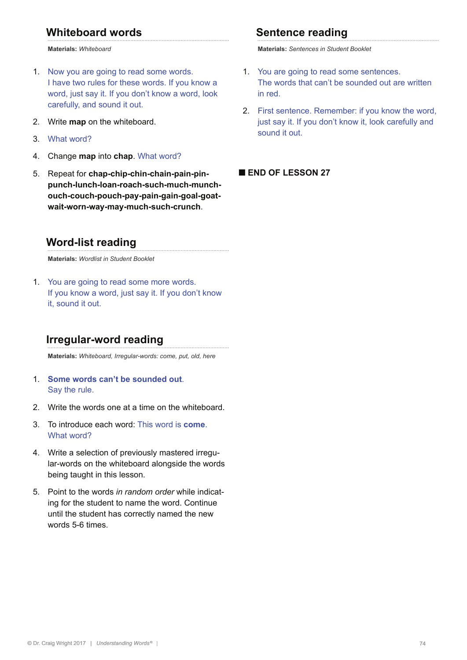## **Whiteboard words**

**Materials:** *Whiteboard*

- 1. Now you are going to read some words. I have two rules for these words. If you know a word, just say it. If you don't know a word, look carefully, and sound it out.
- 2. Write **map** on the whiteboard.
- 3. What word?
- 4. Change **map** into **chap**. What word?
- 5. Repeat for **chap-chip-chin-chain-pain-pinpunch-lunch-loan-roach-such-much-munchouch-couch-pouch-pay-pain-gain-goal-goatwait-worn-way-may-much-such-crunch**.

#### **Word-list reading**

**Materials:** *Wordlist in Student Booklet*

1. You are going to read some more words. If you know a word, just say it. If you don't know it, sound it out.

### **Irregular-word reading**

**Materials:** *Whiteboard, Irregular-words: come, put, old, here*

- 1. **Some words can't be sounded out**. Say the rule.
- 2. Write the words one at a time on the whiteboard.
- 3. To introduce each word: This word is **come**. What word?
- 4. Write a selection of previously mastered irregular-words on the whiteboard alongside the words being taught in this lesson.
- 5. Point to the words *in random order* while indicating for the student to name the word. Continue until the student has correctly named the new words 5-6 times.

#### **Sentence reading**

**Materials:** *Sentences in Student Booklet*

- 1. You are going to read some sentences. The words that can't be sounded out are written in red.
- 2. First sentence. Remember: if you know the word, just say it. If you don't know it, look carefully and sound it out.

#### **■ END OF LESSON 27**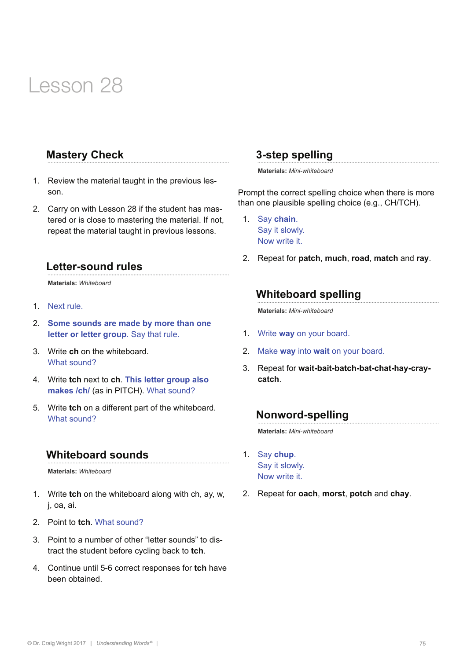## **Mastery Check**

- 1. Review the material taught in the previous lesson.
- 2. Carry on with Lesson 28 if the student has mastered or is close to mastering the material. If not, repeat the material taught in previous lessons.

#### **Letter-sound rules**

**Materials:** *Whiteboard* 

- 1. Next rule.
- 2. **Some sounds are made by more than one letter or letter group**. Say that rule.
- 3. Write **ch** on the whiteboard. What sound?
- 4. Write **tch** next to **ch**. **This letter group also makes /ch/** (as in PITCH). What sound?
- 5. Write **tch** on a different part of the whiteboard. What sound?

#### **Whiteboard sounds**

**Materials:** *Whiteboard* 

- 1. Write **tch** on the whiteboard along with ch, ay, w, j, oa, ai.
- 2. Point to **tch**. What sound?
- 3. Point to a number of other "letter sounds" to distract the student before cycling back to **tch**.
- 4. Continue until 5-6 correct responses for **tch** have been obtained.

### **3-step spelling**

**Materials:** *Mini-whiteboard* 

Prompt the correct spelling choice when there is more than one plausible spelling choice (e.g., CH/TCH).

- 1. Say **chain**. Say it slowly. Now write it.
- 2. Repeat for **patch**, **much**, **road**, **match** and **ray**.

## **Whiteboard spelling**

**Materials:** *Mini-whiteboard*

- 1. Write **way** on your board.
- 2. Make **way** into **wait** on your board.
- 3. Repeat for **wait-bait-batch-bat-chat-hay-craycatch**.

#### **Nonword-spelling**

**Materials:** *Mini-whiteboard*

- 1. Say **chup**. Say it slowly. Now write it.
- 2. Repeat for **oach**, **morst**, **potch** and **chay**.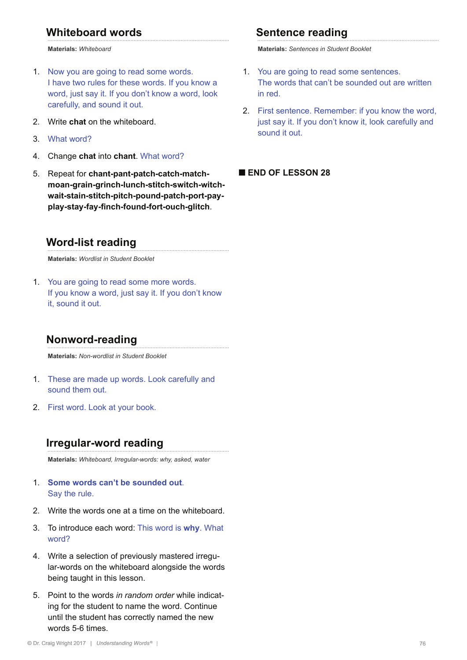## **Whiteboard words**

**Materials:** *Whiteboard*

- 1. Now you are going to read some words. I have two rules for these words. If you know a word, just say it. If you don't know a word, look carefully, and sound it out.
- 2. Write **chat** on the whiteboard.
- 3. What word?
- 4. Change **chat** into **chant**. What word?
- 5. Repeat for **chant-pant-patch-catch-matchmoan-grain-grinch-lunch-stitch-switch-witchwait-stain-stitch-pitch-pound-patch-port-payplay-stay-fay-finch-found-fort-ouch-glitch**.

#### **Word-list reading**

**Materials:** *Wordlist in Student Booklet*

1. You are going to read some more words. If you know a word, just say it. If you don't know it, sound it out.

#### **Nonword-reading**

**Materials:** *Non-wordlist in Student Booklet*

- 1. These are made up words. Look carefully and sound them out.
- 2. First word. Look at your book.

#### **Irregular-word reading**

**Materials:** *Whiteboard, Irregular-words: why, asked, water*

- 1. **Some words can't be sounded out**. Say the rule.
- 2. Write the words one at a time on the whiteboard.
- 3. To introduce each word: This word is **why**. What word?
- 4. Write a selection of previously mastered irregular-words on the whiteboard alongside the words being taught in this lesson.
- 5. Point to the words *in random order* while indicating for the student to name the word. Continue until the student has correctly named the new words 5-6 times.

#### **Sentence reading**

**Materials:** *Sentences in Student Booklet*

- 1. You are going to read some sentences. The words that can't be sounded out are written in red.
- 2. First sentence. Remember: if you know the word, just say it. If you don't know it, look carefully and sound it out.

#### **■ END OF LESSON 28**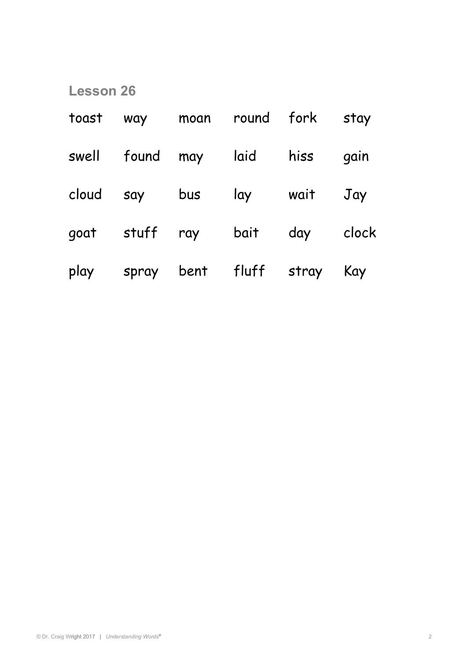| toast | way     |                | moan round fork        |      | stay  |
|-------|---------|----------------|------------------------|------|-------|
|       |         |                | swell found may laid   | hiss | gain  |
| cloud | say bus |                | lay                    | wait | Jay   |
| goat  |         | stuff ray bait |                        | day  | clock |
| play  |         |                | spray bent fluff stray |      | Kay   |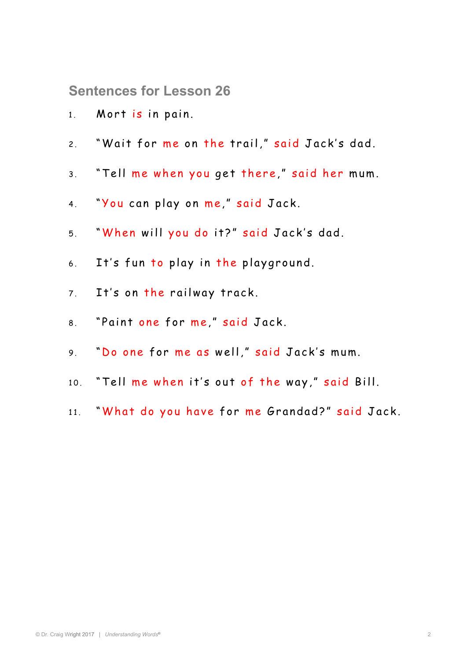**Sentences for Lesson 26** 

- 1. Mort is in pain.
- 2. "Wait for me on the trail," said Jack's dad.
- 3. "Tell me when you get there," said her mum.
- 4. "You can play on me," said Jack.
- 5. "When will you do it?" said Jack's dad.
- 6. It's fun to play in the playground.
- 7. It's on the railway track.
- 8. "Paint one for me," said Jack.
- 9. "Do one for me as well," said Jack's mum.
- 10. "Tell me when it's out of the way," said Bill.
- 11. "What do you have for me Grandad?" said Jack.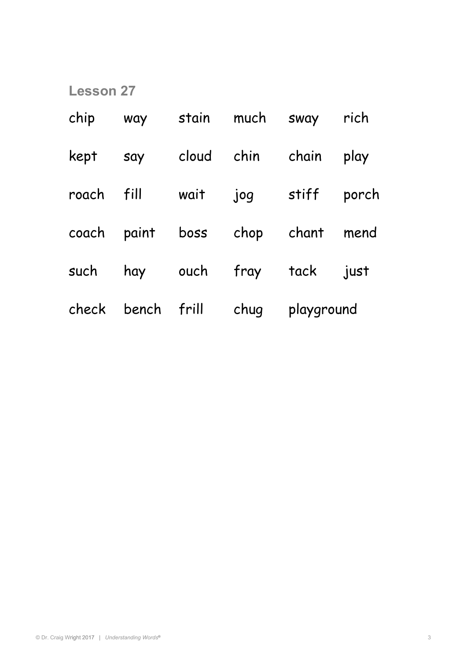| chip  | way              | stain | much       | SWAY       | rich  |
|-------|------------------|-------|------------|------------|-------|
| kept  | say              |       | cloud chin | chain      | play  |
| roach | fill             | wait  | jog        | stiff      | porch |
|       | coach paint boss |       | chop chant |            | mend  |
| such  | hay              | ouch  | fray       | tack       | just  |
| check | bench frill      |       | chug       | playground |       |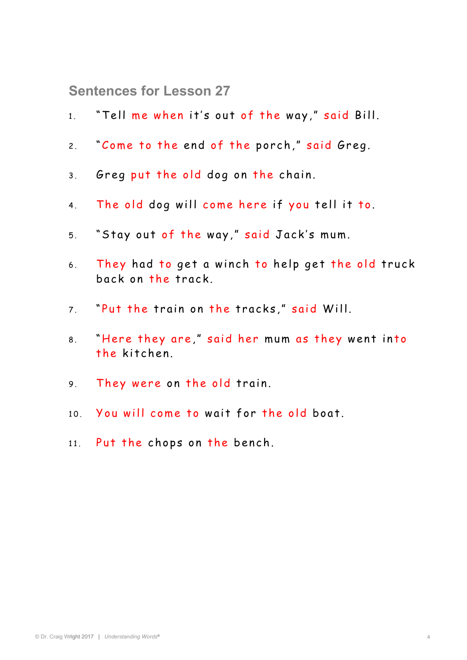**Sentences for Lesson 27** 

- 1. "Tell me when it's out of the way," said Bill.
- 2. "Come to the end of the porch," said Greg.
- 3. Greg put the old dog on the chain.
- 4. The old dog will come here if you tell it to.
- 5. "Stay out of the way," said Jack's mum.
- 6. They had to get a winch to help get the old truck ba ck on the track.
- 7. "Put the train on the tracks," said Will.
- 8. "Here they are," said her mum as they went into the kitchen.
- 9. They were on the old train.
- 10. You will come to wait for the old boat.
- 11. Put the chops on the bench.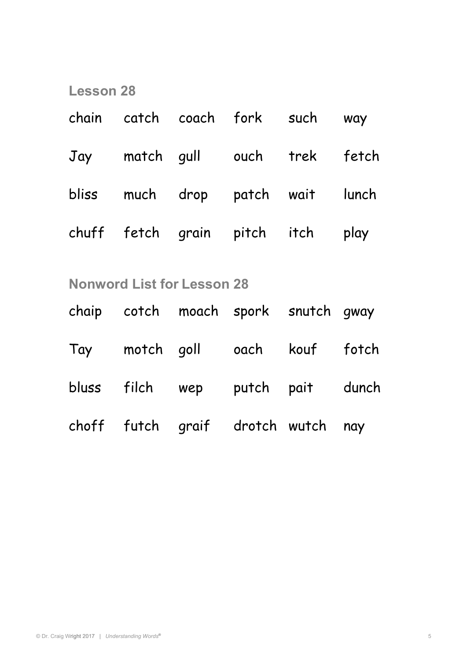| chain catch coach fork such way   |  |  |
|-----------------------------------|--|--|
| Jay match gull ouch trek fetch    |  |  |
| bliss much drop patch wait lunch  |  |  |
| chuff fetch grain pitch itch play |  |  |

## **Nonword List for Lesson 28**

|  | chaip cotch moach spork snutch gway |  |
|--|-------------------------------------|--|
|  | Tay motch goll oach kouf fotch      |  |
|  | bluss filch wep putch pait dunch    |  |
|  | choff futch graif drotch wutch nay  |  |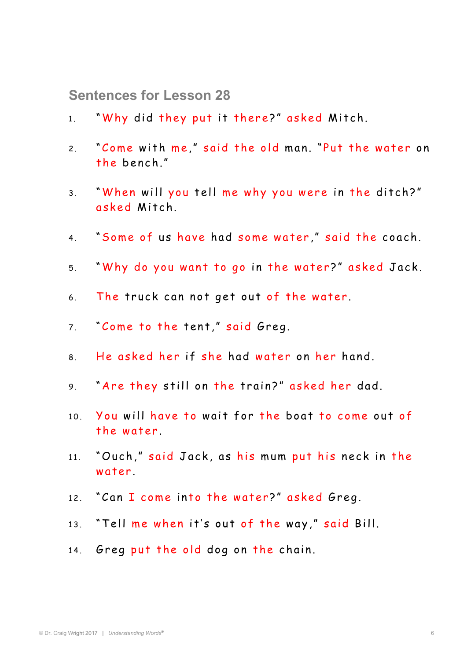**Sentences for Lesson 28** 

- 1. "Why did they put it there?" asked Mitch.
- 2. "Come with me," said the old man. "Put the water on the bench."
- 3. "When will you tell me why you were in the ditch?" asked Mitch.
- 4. "Some of us have had some water," said the coach.
- 5. "Why do you want to go in the water?" asked Jack.
- 6. The truck can not get out of the water.
- 7. "Come to the tent," said Greg.
- 8. He asked her if she had water on her hand.
- 9. "Are they still on the train?" asked her dad.
- 10. You will have to wait for the boat to come out of the water.
- 11. "Ouch," said Jack, as his mum put his neck in the water
- 12. "Can I come into the water?" asked Greg.
- 13. "Tell me when it's out of the way," said Bill.
- 14. Greg put the old dog on the chain.